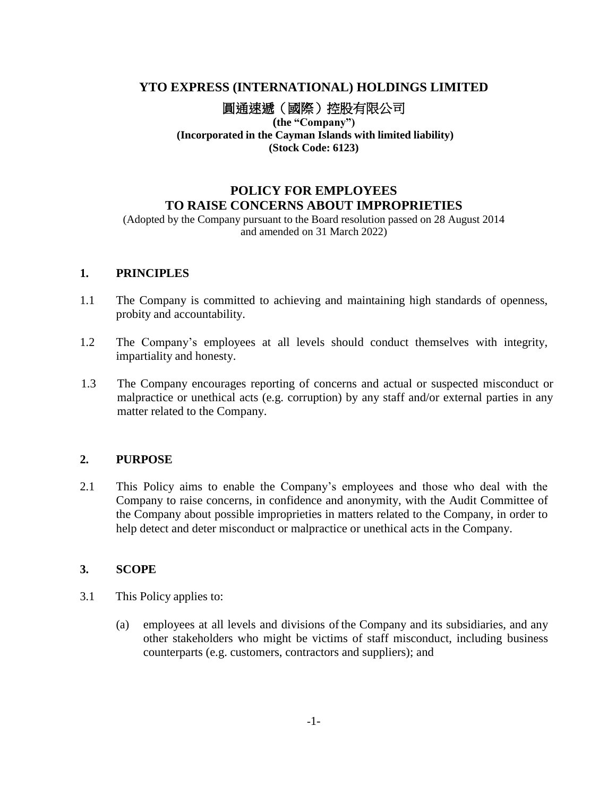# **YTO EXPRESS (INTERNATIONAL) HOLDINGS LIMITED**

圓通速遞(國際)控股有限公司

**(the "Company") (Incorporated in the Cayman Islands with limited liability) (Stock Code: 6123)**

# **POLICY FOR EMPLOYEES TO RAISE CONCERNS ABOUT IMPROPRIETIES**

(Adopted by the Company pursuant to the Board resolution passed on 28 August 2014 and amended on 31 March 2022)

#### **1. PRINCIPLES**

- 1.1 The Company is committed to achieving and maintaining high standards of openness, probity and accountability.
- 1.2 The Company's employees at all levels should conduct themselves with integrity, impartiality and honesty.
- 1.3 The Company encourages reporting of concerns and actual or suspected misconduct or malpractice or unethical acts (e.g. corruption) by any staff and/or external parties in any matter related to the Company.

## **2. PURPOSE**

2.1 This Policy aims to enable the Company's employees and those who deal with the Company to raise concerns, in confidence and anonymity, with the Audit Committee of the Company about possible improprieties in matters related to the Company, in order to help detect and deter misconduct or malpractice or unethical acts in the Company.

## **3. SCOPE**

- 3.1 This Policy applies to:
	- (a) employees at all levels and divisions of the Company and its subsidiaries, and any other stakeholders who might be victims of staff misconduct, including business counterparts (e.g. customers, contractors and suppliers); and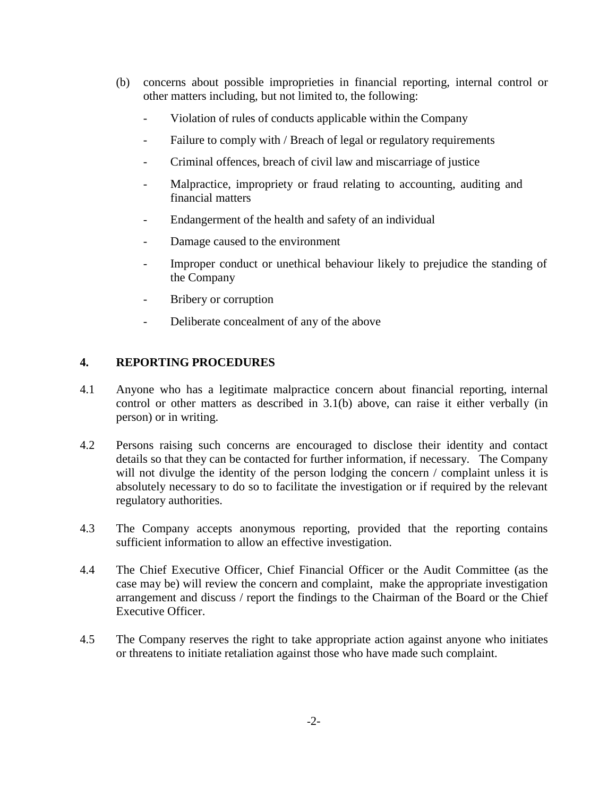- (b) concerns about possible improprieties in financial reporting, internal control or other matters including, but not limited to, the following:
	- Violation of rules of conducts applicable within the Company
	- Failure to comply with / Breach of legal or regulatory requirements
	- Criminal offences, breach of civil law and miscarriage of justice
	- Malpractice, impropriety or fraud relating to accounting, auditing and financial matters
	- Endangerment of the health and safety of an individual
	- Damage caused to the environment
	- Improper conduct or unethical behaviour likely to prejudice the standing of the Company
	- Bribery or corruption
	- Deliberate concealment of any of the above

## **4. REPORTING PROCEDURES**

- 4.1 Anyone who has a legitimate malpractice concern about financial reporting, internal control or other matters as described in 3.1(b) above, can raise it either verbally (in person) or in writing.
- 4.2 Persons raising such concerns are encouraged to disclose their identity and contact details so that they can be contacted for further information, if necessary. The Company will not divulge the identity of the person lodging the concern / complaint unless it is absolutely necessary to do so to facilitate the investigation or if required by the relevant regulatory authorities.
- 4.3 The Company accepts anonymous reporting, provided that the reporting contains sufficient information to allow an effective investigation.
- 4.4 The Chief Executive Officer, Chief Financial Officer or the Audit Committee (as the case may be) will review the concern and complaint, make the appropriate investigation arrangement and discuss / report the findings to the Chairman of the Board or the Chief Executive Officer.
- 4.5 The Company reserves the right to take appropriate action against anyone who initiates or threatens to initiate retaliation against those who have made such complaint.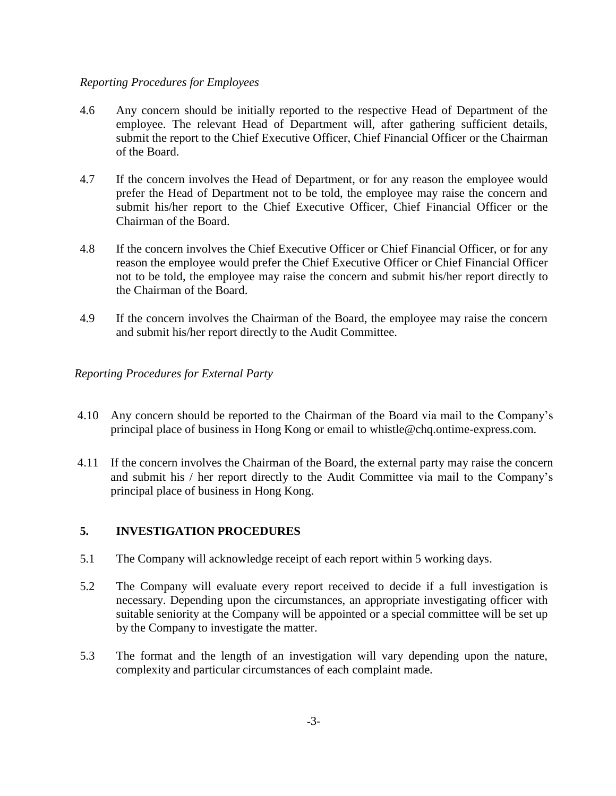#### *Reporting Procedures for Employees*

- 4.6 Any concern should be initially reported to the respective Head of Department of the employee. The relevant Head of Department will, after gathering sufficient details, submit the report to the Chief Executive Officer, Chief Financial Officer or the Chairman of the Board.
- 4.7 If the concern involves the Head of Department, or for any reason the employee would prefer the Head of Department not to be told, the employee may raise the concern and submit his/her report to the Chief Executive Officer, Chief Financial Officer or the Chairman of the Board.
- 4.8 If the concern involves the Chief Executive Officer or Chief Financial Officer, or for any reason the employee would prefer the Chief Executive Officer or Chief Financial Officer not to be told, the employee may raise the concern and submit his/her report directly to the Chairman of the Board.
- 4.9 If the concern involves the Chairman of the Board, the employee may raise the concern and submit his/her report directly to the Audit Committee.

#### *Reporting Procedures for External Party*

- 4.10 Any concern should be reported to the Chairman of the Board via mail to the Company's principal place of business in Hong Kong or email to whistle@chq.ontime-express.com.
- 4.11 If the concern involves the Chairman of the Board, the external party may raise the concern and submit his / her report directly to the Audit Committee via mail to the Company's principal place of business in Hong Kong.

### **5. INVESTIGATION PROCEDURES**

- 5.1 The Company will acknowledge receipt of each report within 5 working days.
- 5.2 The Company will evaluate every report received to decide if a full investigation is necessary. Depending upon the circumstances, an appropriate investigating officer with suitable seniority at the Company will be appointed or a special committee will be set up by the Company to investigate the matter.
- 5.3 The format and the length of an investigation will vary depending upon the nature, complexity and particular circumstances of each complaint made.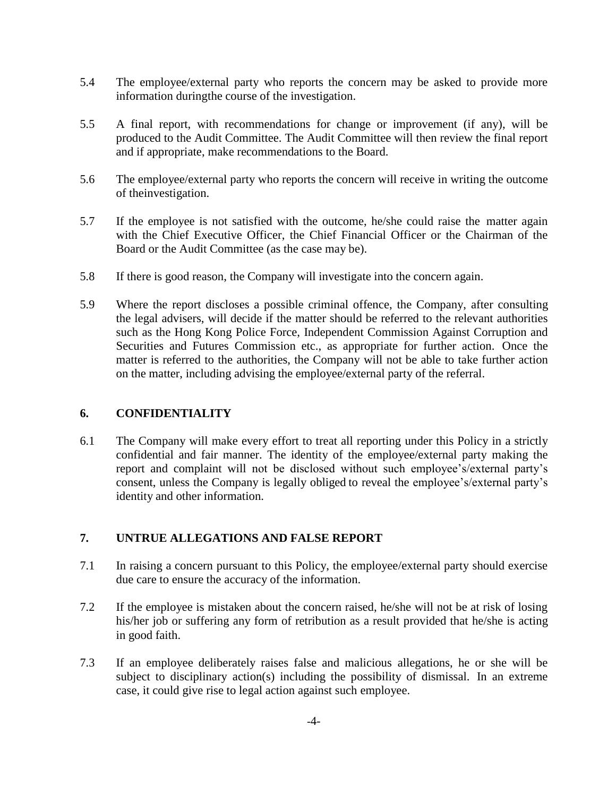- 5.4 The employee/external party who reports the concern may be asked to provide more information duringthe course of the investigation.
- 5.5 A final report, with recommendations for change or improvement (if any), will be produced to the Audit Committee. The Audit Committee will then review the final report and if appropriate, make recommendations to the Board.
- 5.6 The employee/external party who reports the concern will receive in writing the outcome of theinvestigation.
- 5.7 If the employee is not satisfied with the outcome, he/she could raise the matter again with the Chief Executive Officer, the Chief Financial Officer or the Chairman of the Board or the Audit Committee (as the case may be).
- 5.8 If there is good reason, the Company will investigate into the concern again.
- 5.9 Where the report discloses a possible criminal offence, the Company, after consulting the legal advisers, will decide if the matter should be referred to the relevant authorities such as the Hong Kong Police Force, Independent Commission Against Corruption and Securities and Futures Commission etc., as appropriate for further action. Once the matter is referred to the authorities, the Company will not be able to take further action on the matter, including advising the employee/external party of the referral.

#### **6. CONFIDENTIALITY**

6.1 The Company will make every effort to treat all reporting under this Policy in a strictly confidential and fair manner. The identity of the employee/external party making the report and complaint will not be disclosed without such employee's/external party's consent, unless the Company is legally obliged to reveal the employee's/external party's identity and other information.

#### **7. UNTRUE ALLEGATIONS AND FALSE REPORT**

- 7.1 In raising a concern pursuant to this Policy, the employee/external party should exercise due care to ensure the accuracy of the information.
- 7.2 If the employee is mistaken about the concern raised, he/she will not be at risk of losing his/her job or suffering any form of retribution as a result provided that he/she is acting in good faith.
- 7.3 If an employee deliberately raises false and malicious allegations, he or she will be subject to disciplinary action(s) including the possibility of dismissal. In an extreme case, it could give rise to legal action against such employee.